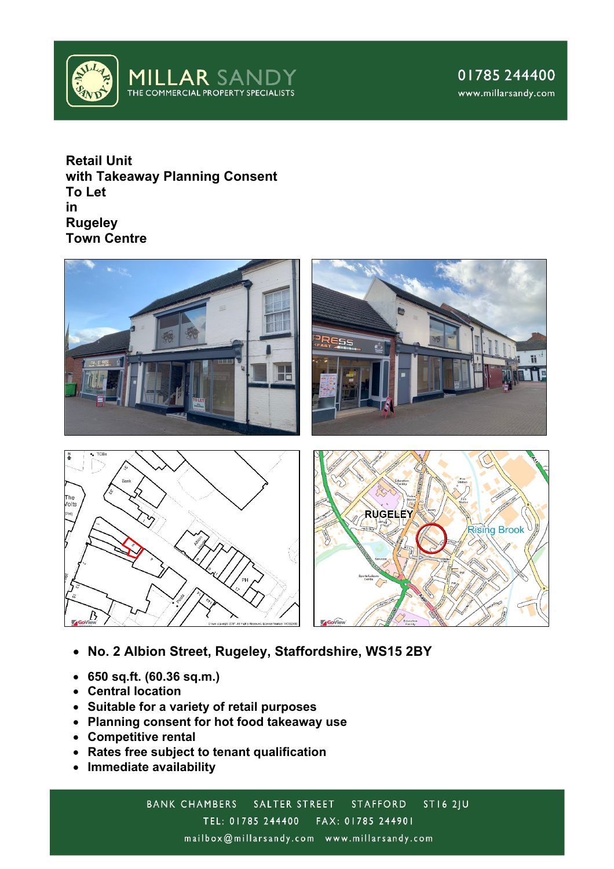

**Retail Unit with Takeaway Planning Consent To Let in Rugeley Town Centre**



- **No. 2 Albion Street, Rugeley, Staffordshire, WS15 2BY**
- **650 sq.ft. (60.36 sq.m.)**
- **Central location**
- **Suitable for a variety of retail purposes**
- **Planning consent for hot food takeaway use**
- **Competitive rental**
- **Rates free subject to tenant qualification**
- **Immediate availability**

BANK CHAMBERS  $STI62JU$ SALTER STREET **STAFFORD** TEL: 01785 244400 FAX: 01785 244901 mailbox@millarsandy.com www.millarsandy.com